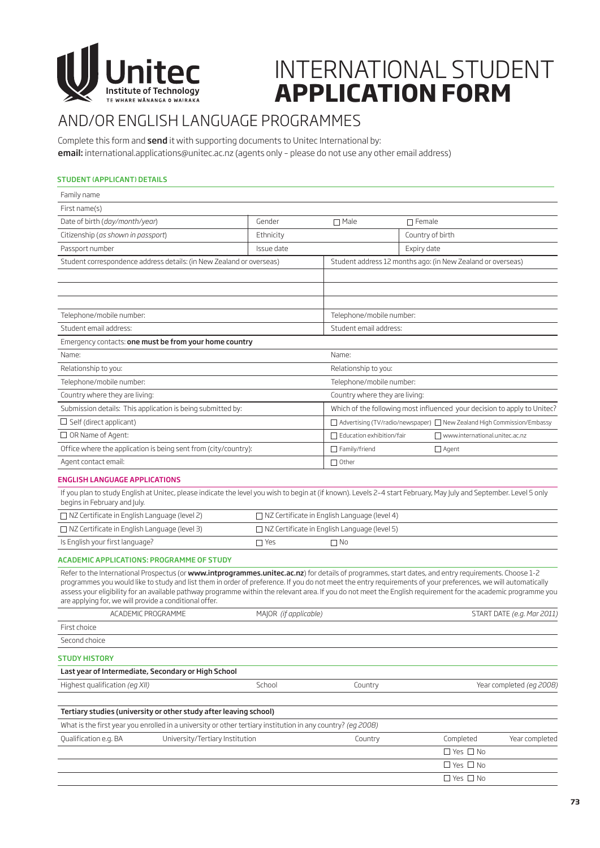

## INTERNATIONAL STUDENT **APPLICATION FORM**

### AND/OR ENGLISH LANGUAGE PROGRAMMES

Complete this form and send it with supporting documents to Unitec International by: email: international.applications@unitec.ac.nz (agents only - please do not use any other email address)

#### STUDENT (APPLICANT) DETAILS

| First name(s)<br>Date of birth (day/month/year)<br>Gender<br>$\Box$ Male<br>$\Box$ Female<br>Citizenship (as shown in passport)<br>Country of birth<br>Ethnicity<br>Issue date<br>Passport number<br>Expiry date<br>Student correspondence address details: (in New Zealand or overseas)<br>Student address 12 months ago: (in New Zealand or overseas)<br>Telephone/mobile number:<br>Telephone/mobile number:<br>Student email address:<br>Student email address:<br>Emergency contacts: one must be from your home country<br>Name:<br>Name:<br>Relationship to you:<br>Relationship to you:<br>Telephone/mobile number:<br>Telephone/mobile number:<br>Country where they are living:<br>Country where they are living:<br>Submission details: This application is being submitted by:<br>Which of the following most influenced your decision to apply to Unitec?<br>$\Box$ Self (direct applicant)<br>□ Advertising (TV/radio/newspaper) □ New Zealand High Commission/Embassy<br>$\Box$ OR Name of Agent:<br>Education exhibition/fair<br>□ www.international.unitec.ac.nz<br>Office where the application is being sent from (city/country):<br>$\Box$ Family/friend<br>□ Agent<br>Agent contact email:<br>$\Box$ Other<br><b>ENGLISH LANGUAGE APPLICATIONS</b><br>If you plan to study English at Unitec, please indicate the level you wish to begin at (if known). Levels 2-4 start February, May July and September. Level 5 only<br>begins in February and July.<br>□ NZ Certificate in English Language (level 2)<br>□ NZ Certificate in English Language (level 4)<br>$\Box$ NZ Certificate in English Language (level 3)<br>$\Box$ NZ Certificate in English Language (level 5)<br>Is English your first language?<br>$\Box$ Yes<br>$\Box$ No<br>ACADEMIC APPLICATIONS: PROGRAMME OF STUDY<br>Refer to the International Prospectus (or www.intprogrammes.unitec.ac.nz) for details of programmes, start dates, and entry requirements. Choose 1-2<br>programmes you would like to study and list them in order of preference. If you do not meet the entry requirements of your preferences, we will automatically<br>assess your eligibility for an available pathway programme within the relevant area. If you do not meet the English requirement for the academic programme you<br>are applying for, we will provide a conditional offer.<br>MAJOR (if applicable)<br>ACADEMIC PROGRAMME<br>START DATE (e.g. Mar 2011)<br>First choice<br>Second choice<br><b>STUDY HISTORY</b><br>Last year of Intermediate, Secondary or High School<br>Highest qualification (eg XII)<br>School<br>Country<br>Year completed (eg 2008)<br>Tertiary studies (university or other study after leaving school)<br>What is the first year you enrolled in a university or other tertiary institution in any country? (eg 2008)<br>Completed<br>Qualification e.g. BA<br>University/Tertiary Institution<br>Country<br>$\Box$ Yes $\Box$ No<br>$\Box$ Yes $\Box$ No<br>$\Box$ Yes $\Box$ No | Family name |  |  |                |  |  |  |
|-------------------------------------------------------------------------------------------------------------------------------------------------------------------------------------------------------------------------------------------------------------------------------------------------------------------------------------------------------------------------------------------------------------------------------------------------------------------------------------------------------------------------------------------------------------------------------------------------------------------------------------------------------------------------------------------------------------------------------------------------------------------------------------------------------------------------------------------------------------------------------------------------------------------------------------------------------------------------------------------------------------------------------------------------------------------------------------------------------------------------------------------------------------------------------------------------------------------------------------------------------------------------------------------------------------------------------------------------------------------------------------------------------------------------------------------------------------------------------------------------------------------------------------------------------------------------------------------------------------------------------------------------------------------------------------------------------------------------------------------------------------------------------------------------------------------------------------------------------------------------------------------------------------------------------------------------------------------------------------------------------------------------------------------------------------------------------------------------------------------------------------------------------------------------------------------------------------------------------------------------------------------------------------------------------------------------------------------------------------------------------------------------------------------------------------------------------------------------------------------------------------------------------------------------------------------------------------------------------------------------------------------------------------------------------------------------------------------------------------------------------------------------------------------------------------------------------------------------------------------------------------------------------------------------------------------------------------------------------------------------|-------------|--|--|----------------|--|--|--|
|                                                                                                                                                                                                                                                                                                                                                                                                                                                                                                                                                                                                                                                                                                                                                                                                                                                                                                                                                                                                                                                                                                                                                                                                                                                                                                                                                                                                                                                                                                                                                                                                                                                                                                                                                                                                                                                                                                                                                                                                                                                                                                                                                                                                                                                                                                                                                                                                                                                                                                                                                                                                                                                                                                                                                                                                                                                                                                                                                                                                 |             |  |  |                |  |  |  |
|                                                                                                                                                                                                                                                                                                                                                                                                                                                                                                                                                                                                                                                                                                                                                                                                                                                                                                                                                                                                                                                                                                                                                                                                                                                                                                                                                                                                                                                                                                                                                                                                                                                                                                                                                                                                                                                                                                                                                                                                                                                                                                                                                                                                                                                                                                                                                                                                                                                                                                                                                                                                                                                                                                                                                                                                                                                                                                                                                                                                 |             |  |  |                |  |  |  |
|                                                                                                                                                                                                                                                                                                                                                                                                                                                                                                                                                                                                                                                                                                                                                                                                                                                                                                                                                                                                                                                                                                                                                                                                                                                                                                                                                                                                                                                                                                                                                                                                                                                                                                                                                                                                                                                                                                                                                                                                                                                                                                                                                                                                                                                                                                                                                                                                                                                                                                                                                                                                                                                                                                                                                                                                                                                                                                                                                                                                 |             |  |  |                |  |  |  |
|                                                                                                                                                                                                                                                                                                                                                                                                                                                                                                                                                                                                                                                                                                                                                                                                                                                                                                                                                                                                                                                                                                                                                                                                                                                                                                                                                                                                                                                                                                                                                                                                                                                                                                                                                                                                                                                                                                                                                                                                                                                                                                                                                                                                                                                                                                                                                                                                                                                                                                                                                                                                                                                                                                                                                                                                                                                                                                                                                                                                 |             |  |  |                |  |  |  |
|                                                                                                                                                                                                                                                                                                                                                                                                                                                                                                                                                                                                                                                                                                                                                                                                                                                                                                                                                                                                                                                                                                                                                                                                                                                                                                                                                                                                                                                                                                                                                                                                                                                                                                                                                                                                                                                                                                                                                                                                                                                                                                                                                                                                                                                                                                                                                                                                                                                                                                                                                                                                                                                                                                                                                                                                                                                                                                                                                                                                 |             |  |  |                |  |  |  |
|                                                                                                                                                                                                                                                                                                                                                                                                                                                                                                                                                                                                                                                                                                                                                                                                                                                                                                                                                                                                                                                                                                                                                                                                                                                                                                                                                                                                                                                                                                                                                                                                                                                                                                                                                                                                                                                                                                                                                                                                                                                                                                                                                                                                                                                                                                                                                                                                                                                                                                                                                                                                                                                                                                                                                                                                                                                                                                                                                                                                 |             |  |  |                |  |  |  |
|                                                                                                                                                                                                                                                                                                                                                                                                                                                                                                                                                                                                                                                                                                                                                                                                                                                                                                                                                                                                                                                                                                                                                                                                                                                                                                                                                                                                                                                                                                                                                                                                                                                                                                                                                                                                                                                                                                                                                                                                                                                                                                                                                                                                                                                                                                                                                                                                                                                                                                                                                                                                                                                                                                                                                                                                                                                                                                                                                                                                 |             |  |  |                |  |  |  |
|                                                                                                                                                                                                                                                                                                                                                                                                                                                                                                                                                                                                                                                                                                                                                                                                                                                                                                                                                                                                                                                                                                                                                                                                                                                                                                                                                                                                                                                                                                                                                                                                                                                                                                                                                                                                                                                                                                                                                                                                                                                                                                                                                                                                                                                                                                                                                                                                                                                                                                                                                                                                                                                                                                                                                                                                                                                                                                                                                                                                 |             |  |  |                |  |  |  |
|                                                                                                                                                                                                                                                                                                                                                                                                                                                                                                                                                                                                                                                                                                                                                                                                                                                                                                                                                                                                                                                                                                                                                                                                                                                                                                                                                                                                                                                                                                                                                                                                                                                                                                                                                                                                                                                                                                                                                                                                                                                                                                                                                                                                                                                                                                                                                                                                                                                                                                                                                                                                                                                                                                                                                                                                                                                                                                                                                                                                 |             |  |  |                |  |  |  |
|                                                                                                                                                                                                                                                                                                                                                                                                                                                                                                                                                                                                                                                                                                                                                                                                                                                                                                                                                                                                                                                                                                                                                                                                                                                                                                                                                                                                                                                                                                                                                                                                                                                                                                                                                                                                                                                                                                                                                                                                                                                                                                                                                                                                                                                                                                                                                                                                                                                                                                                                                                                                                                                                                                                                                                                                                                                                                                                                                                                                 |             |  |  |                |  |  |  |
|                                                                                                                                                                                                                                                                                                                                                                                                                                                                                                                                                                                                                                                                                                                                                                                                                                                                                                                                                                                                                                                                                                                                                                                                                                                                                                                                                                                                                                                                                                                                                                                                                                                                                                                                                                                                                                                                                                                                                                                                                                                                                                                                                                                                                                                                                                                                                                                                                                                                                                                                                                                                                                                                                                                                                                                                                                                                                                                                                                                                 |             |  |  |                |  |  |  |
|                                                                                                                                                                                                                                                                                                                                                                                                                                                                                                                                                                                                                                                                                                                                                                                                                                                                                                                                                                                                                                                                                                                                                                                                                                                                                                                                                                                                                                                                                                                                                                                                                                                                                                                                                                                                                                                                                                                                                                                                                                                                                                                                                                                                                                                                                                                                                                                                                                                                                                                                                                                                                                                                                                                                                                                                                                                                                                                                                                                                 |             |  |  |                |  |  |  |
|                                                                                                                                                                                                                                                                                                                                                                                                                                                                                                                                                                                                                                                                                                                                                                                                                                                                                                                                                                                                                                                                                                                                                                                                                                                                                                                                                                                                                                                                                                                                                                                                                                                                                                                                                                                                                                                                                                                                                                                                                                                                                                                                                                                                                                                                                                                                                                                                                                                                                                                                                                                                                                                                                                                                                                                                                                                                                                                                                                                                 |             |  |  |                |  |  |  |
|                                                                                                                                                                                                                                                                                                                                                                                                                                                                                                                                                                                                                                                                                                                                                                                                                                                                                                                                                                                                                                                                                                                                                                                                                                                                                                                                                                                                                                                                                                                                                                                                                                                                                                                                                                                                                                                                                                                                                                                                                                                                                                                                                                                                                                                                                                                                                                                                                                                                                                                                                                                                                                                                                                                                                                                                                                                                                                                                                                                                 |             |  |  |                |  |  |  |
|                                                                                                                                                                                                                                                                                                                                                                                                                                                                                                                                                                                                                                                                                                                                                                                                                                                                                                                                                                                                                                                                                                                                                                                                                                                                                                                                                                                                                                                                                                                                                                                                                                                                                                                                                                                                                                                                                                                                                                                                                                                                                                                                                                                                                                                                                                                                                                                                                                                                                                                                                                                                                                                                                                                                                                                                                                                                                                                                                                                                 |             |  |  |                |  |  |  |
|                                                                                                                                                                                                                                                                                                                                                                                                                                                                                                                                                                                                                                                                                                                                                                                                                                                                                                                                                                                                                                                                                                                                                                                                                                                                                                                                                                                                                                                                                                                                                                                                                                                                                                                                                                                                                                                                                                                                                                                                                                                                                                                                                                                                                                                                                                                                                                                                                                                                                                                                                                                                                                                                                                                                                                                                                                                                                                                                                                                                 |             |  |  |                |  |  |  |
|                                                                                                                                                                                                                                                                                                                                                                                                                                                                                                                                                                                                                                                                                                                                                                                                                                                                                                                                                                                                                                                                                                                                                                                                                                                                                                                                                                                                                                                                                                                                                                                                                                                                                                                                                                                                                                                                                                                                                                                                                                                                                                                                                                                                                                                                                                                                                                                                                                                                                                                                                                                                                                                                                                                                                                                                                                                                                                                                                                                                 |             |  |  |                |  |  |  |
|                                                                                                                                                                                                                                                                                                                                                                                                                                                                                                                                                                                                                                                                                                                                                                                                                                                                                                                                                                                                                                                                                                                                                                                                                                                                                                                                                                                                                                                                                                                                                                                                                                                                                                                                                                                                                                                                                                                                                                                                                                                                                                                                                                                                                                                                                                                                                                                                                                                                                                                                                                                                                                                                                                                                                                                                                                                                                                                                                                                                 |             |  |  |                |  |  |  |
|                                                                                                                                                                                                                                                                                                                                                                                                                                                                                                                                                                                                                                                                                                                                                                                                                                                                                                                                                                                                                                                                                                                                                                                                                                                                                                                                                                                                                                                                                                                                                                                                                                                                                                                                                                                                                                                                                                                                                                                                                                                                                                                                                                                                                                                                                                                                                                                                                                                                                                                                                                                                                                                                                                                                                                                                                                                                                                                                                                                                 |             |  |  |                |  |  |  |
|                                                                                                                                                                                                                                                                                                                                                                                                                                                                                                                                                                                                                                                                                                                                                                                                                                                                                                                                                                                                                                                                                                                                                                                                                                                                                                                                                                                                                                                                                                                                                                                                                                                                                                                                                                                                                                                                                                                                                                                                                                                                                                                                                                                                                                                                                                                                                                                                                                                                                                                                                                                                                                                                                                                                                                                                                                                                                                                                                                                                 |             |  |  |                |  |  |  |
|                                                                                                                                                                                                                                                                                                                                                                                                                                                                                                                                                                                                                                                                                                                                                                                                                                                                                                                                                                                                                                                                                                                                                                                                                                                                                                                                                                                                                                                                                                                                                                                                                                                                                                                                                                                                                                                                                                                                                                                                                                                                                                                                                                                                                                                                                                                                                                                                                                                                                                                                                                                                                                                                                                                                                                                                                                                                                                                                                                                                 |             |  |  |                |  |  |  |
|                                                                                                                                                                                                                                                                                                                                                                                                                                                                                                                                                                                                                                                                                                                                                                                                                                                                                                                                                                                                                                                                                                                                                                                                                                                                                                                                                                                                                                                                                                                                                                                                                                                                                                                                                                                                                                                                                                                                                                                                                                                                                                                                                                                                                                                                                                                                                                                                                                                                                                                                                                                                                                                                                                                                                                                                                                                                                                                                                                                                 |             |  |  |                |  |  |  |
|                                                                                                                                                                                                                                                                                                                                                                                                                                                                                                                                                                                                                                                                                                                                                                                                                                                                                                                                                                                                                                                                                                                                                                                                                                                                                                                                                                                                                                                                                                                                                                                                                                                                                                                                                                                                                                                                                                                                                                                                                                                                                                                                                                                                                                                                                                                                                                                                                                                                                                                                                                                                                                                                                                                                                                                                                                                                                                                                                                                                 |             |  |  |                |  |  |  |
|                                                                                                                                                                                                                                                                                                                                                                                                                                                                                                                                                                                                                                                                                                                                                                                                                                                                                                                                                                                                                                                                                                                                                                                                                                                                                                                                                                                                                                                                                                                                                                                                                                                                                                                                                                                                                                                                                                                                                                                                                                                                                                                                                                                                                                                                                                                                                                                                                                                                                                                                                                                                                                                                                                                                                                                                                                                                                                                                                                                                 |             |  |  |                |  |  |  |
|                                                                                                                                                                                                                                                                                                                                                                                                                                                                                                                                                                                                                                                                                                                                                                                                                                                                                                                                                                                                                                                                                                                                                                                                                                                                                                                                                                                                                                                                                                                                                                                                                                                                                                                                                                                                                                                                                                                                                                                                                                                                                                                                                                                                                                                                                                                                                                                                                                                                                                                                                                                                                                                                                                                                                                                                                                                                                                                                                                                                 |             |  |  |                |  |  |  |
|                                                                                                                                                                                                                                                                                                                                                                                                                                                                                                                                                                                                                                                                                                                                                                                                                                                                                                                                                                                                                                                                                                                                                                                                                                                                                                                                                                                                                                                                                                                                                                                                                                                                                                                                                                                                                                                                                                                                                                                                                                                                                                                                                                                                                                                                                                                                                                                                                                                                                                                                                                                                                                                                                                                                                                                                                                                                                                                                                                                                 |             |  |  |                |  |  |  |
|                                                                                                                                                                                                                                                                                                                                                                                                                                                                                                                                                                                                                                                                                                                                                                                                                                                                                                                                                                                                                                                                                                                                                                                                                                                                                                                                                                                                                                                                                                                                                                                                                                                                                                                                                                                                                                                                                                                                                                                                                                                                                                                                                                                                                                                                                                                                                                                                                                                                                                                                                                                                                                                                                                                                                                                                                                                                                                                                                                                                 |             |  |  |                |  |  |  |
|                                                                                                                                                                                                                                                                                                                                                                                                                                                                                                                                                                                                                                                                                                                                                                                                                                                                                                                                                                                                                                                                                                                                                                                                                                                                                                                                                                                                                                                                                                                                                                                                                                                                                                                                                                                                                                                                                                                                                                                                                                                                                                                                                                                                                                                                                                                                                                                                                                                                                                                                                                                                                                                                                                                                                                                                                                                                                                                                                                                                 |             |  |  |                |  |  |  |
|                                                                                                                                                                                                                                                                                                                                                                                                                                                                                                                                                                                                                                                                                                                                                                                                                                                                                                                                                                                                                                                                                                                                                                                                                                                                                                                                                                                                                                                                                                                                                                                                                                                                                                                                                                                                                                                                                                                                                                                                                                                                                                                                                                                                                                                                                                                                                                                                                                                                                                                                                                                                                                                                                                                                                                                                                                                                                                                                                                                                 |             |  |  |                |  |  |  |
|                                                                                                                                                                                                                                                                                                                                                                                                                                                                                                                                                                                                                                                                                                                                                                                                                                                                                                                                                                                                                                                                                                                                                                                                                                                                                                                                                                                                                                                                                                                                                                                                                                                                                                                                                                                                                                                                                                                                                                                                                                                                                                                                                                                                                                                                                                                                                                                                                                                                                                                                                                                                                                                                                                                                                                                                                                                                                                                                                                                                 |             |  |  |                |  |  |  |
|                                                                                                                                                                                                                                                                                                                                                                                                                                                                                                                                                                                                                                                                                                                                                                                                                                                                                                                                                                                                                                                                                                                                                                                                                                                                                                                                                                                                                                                                                                                                                                                                                                                                                                                                                                                                                                                                                                                                                                                                                                                                                                                                                                                                                                                                                                                                                                                                                                                                                                                                                                                                                                                                                                                                                                                                                                                                                                                                                                                                 |             |  |  |                |  |  |  |
|                                                                                                                                                                                                                                                                                                                                                                                                                                                                                                                                                                                                                                                                                                                                                                                                                                                                                                                                                                                                                                                                                                                                                                                                                                                                                                                                                                                                                                                                                                                                                                                                                                                                                                                                                                                                                                                                                                                                                                                                                                                                                                                                                                                                                                                                                                                                                                                                                                                                                                                                                                                                                                                                                                                                                                                                                                                                                                                                                                                                 |             |  |  |                |  |  |  |
|                                                                                                                                                                                                                                                                                                                                                                                                                                                                                                                                                                                                                                                                                                                                                                                                                                                                                                                                                                                                                                                                                                                                                                                                                                                                                                                                                                                                                                                                                                                                                                                                                                                                                                                                                                                                                                                                                                                                                                                                                                                                                                                                                                                                                                                                                                                                                                                                                                                                                                                                                                                                                                                                                                                                                                                                                                                                                                                                                                                                 |             |  |  |                |  |  |  |
|                                                                                                                                                                                                                                                                                                                                                                                                                                                                                                                                                                                                                                                                                                                                                                                                                                                                                                                                                                                                                                                                                                                                                                                                                                                                                                                                                                                                                                                                                                                                                                                                                                                                                                                                                                                                                                                                                                                                                                                                                                                                                                                                                                                                                                                                                                                                                                                                                                                                                                                                                                                                                                                                                                                                                                                                                                                                                                                                                                                                 |             |  |  |                |  |  |  |
|                                                                                                                                                                                                                                                                                                                                                                                                                                                                                                                                                                                                                                                                                                                                                                                                                                                                                                                                                                                                                                                                                                                                                                                                                                                                                                                                                                                                                                                                                                                                                                                                                                                                                                                                                                                                                                                                                                                                                                                                                                                                                                                                                                                                                                                                                                                                                                                                                                                                                                                                                                                                                                                                                                                                                                                                                                                                                                                                                                                                 |             |  |  |                |  |  |  |
|                                                                                                                                                                                                                                                                                                                                                                                                                                                                                                                                                                                                                                                                                                                                                                                                                                                                                                                                                                                                                                                                                                                                                                                                                                                                                                                                                                                                                                                                                                                                                                                                                                                                                                                                                                                                                                                                                                                                                                                                                                                                                                                                                                                                                                                                                                                                                                                                                                                                                                                                                                                                                                                                                                                                                                                                                                                                                                                                                                                                 |             |  |  | Year completed |  |  |  |
|                                                                                                                                                                                                                                                                                                                                                                                                                                                                                                                                                                                                                                                                                                                                                                                                                                                                                                                                                                                                                                                                                                                                                                                                                                                                                                                                                                                                                                                                                                                                                                                                                                                                                                                                                                                                                                                                                                                                                                                                                                                                                                                                                                                                                                                                                                                                                                                                                                                                                                                                                                                                                                                                                                                                                                                                                                                                                                                                                                                                 |             |  |  |                |  |  |  |
|                                                                                                                                                                                                                                                                                                                                                                                                                                                                                                                                                                                                                                                                                                                                                                                                                                                                                                                                                                                                                                                                                                                                                                                                                                                                                                                                                                                                                                                                                                                                                                                                                                                                                                                                                                                                                                                                                                                                                                                                                                                                                                                                                                                                                                                                                                                                                                                                                                                                                                                                                                                                                                                                                                                                                                                                                                                                                                                                                                                                 |             |  |  |                |  |  |  |
|                                                                                                                                                                                                                                                                                                                                                                                                                                                                                                                                                                                                                                                                                                                                                                                                                                                                                                                                                                                                                                                                                                                                                                                                                                                                                                                                                                                                                                                                                                                                                                                                                                                                                                                                                                                                                                                                                                                                                                                                                                                                                                                                                                                                                                                                                                                                                                                                                                                                                                                                                                                                                                                                                                                                                                                                                                                                                                                                                                                                 |             |  |  |                |  |  |  |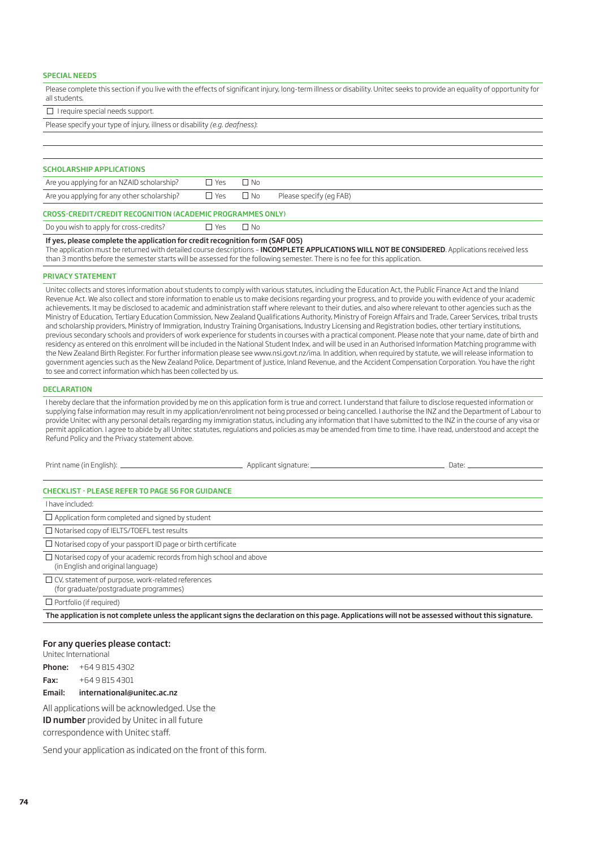#### SPECIAL NEEDS

Please complete this section if you live with the effects of significant injury, long-term illness or disability. Unitec seeks to provide an equality of opportunity for all students.

 $\Box$  I require special needs support.

Please specify your type of injury, illness or disability *(e.g. deafness)*:

| <b>SCHOLARSHIP APPLICATIONS</b>                            |                      |              |                         |  |  |  |  |
|------------------------------------------------------------|----------------------|--------------|-------------------------|--|--|--|--|
| Are you applying for an NZAID scholarship?                 | $\Box$ Yes           | $\Box$ No    |                         |  |  |  |  |
| Are you applying for any other scholarship?                | $\Box$ Yes $\Box$ No |              | Please specify (eg FAB) |  |  |  |  |
| CROSS-CREDIT/CREDIT RECOGNITION (ACADEMIC PROGRAMMES ONLY) |                      |              |                         |  |  |  |  |
| Do you wish to apply for cross-credits?                    | LI Yes               | $\square$ No |                         |  |  |  |  |

If yes, please complete the application for credit recognition form (SAF 005)

The application must be returned with detailed course descriptions - INCOMPLETE APPLICATIONS WILL NOT BE CONSIDERED. Applications received less than 3 months before the semester starts will be assessed for the following semester. There is no fee for this application.

#### PRIVACY STATEMENT

Unitec collects and stores information about students to comply with various statutes, including the Education Act, the Public Finance Act and the Inland Revenue Act. We also collect and store information to enable us to make decisions regarding your progress, and to provide you with evidence of your academic achievements. It may be disclosed to academic and administration staff where relevant to their duties, and also where relevant to other agencies such as the Ministry of Education, Tertiary Education Commission, New Zealand Qualifications Authority, Ministry of Foreign Affairs and Trade, Career Services, tribal trusts and scholarship providers, Ministry of Immigration, Industry Training Organisations, Industry Licensing and Registration bodies, other tertiary institutions, previous secondary schools and providers of work experience for students in courses with a practical component. Please note that your name, date of birth and residency as entered on this enrolment will be included in the National Student Index, and will be used in an Authorised Information Matching programme with the New Zealand Birth Register. For further information please see www.nsi.govt.nz/ima. In addition, when required by statute, we will release information to government agencies such as the New Zealand Police, Department of Justice, Inland Revenue, and the Accident Compensation Corporation. You have the right to see and correct information which has been collected by us.

#### DECLARATION

I hereby declare that the information provided by me on this application form is true and correct. I understand that failure to disclose requested information or supplying false information may result in my application/enrolment not being processed or being cancelled. I authorise the INZ and the Department of Labour to provide Unitec with any personal details regarding my immigration status, including any information that I have submitted to the INZ in the course of any visa or permit application. I agree to abide by all Unitec statutes, regulations and policies as may be amended from time to time. I have read, understood and accept the Refund Policy and the Privacy statement above.

|                                                                                                                 | Date: $\qquad \qquad$ |
|-----------------------------------------------------------------------------------------------------------------|-----------------------|
| <b>CHECKLIST - PLEASE REFER TO PAGE 56 FOR GUIDANCE</b>                                                         |                       |
| I have included:                                                                                                |                       |
| $\Box$ Application form completed and signed by student                                                         |                       |
| $\Box$ Notarised copy of IELTS/TOEFL test results                                                               |                       |
| $\Box$ Notarised copy of your passport ID page or birth certificate                                             |                       |
| $\Box$ Notarised copy of your academic records from high school and above<br>(in English and original language) |                       |
| $\Box$ CV, statement of purpose, work-related references<br>(for graduate/postgraduate programmes)              |                       |
| $\Box$ Portfolio (if required)                                                                                  |                       |

The application is not complete unless the applicant signs the declaration on this page. Applications will not be assessed without this signature.

#### For any queries please contact:

Unitec International

Phone: +64 9 815 4302

Fax: +64 9 815 4301

#### Email: international@unitec.ac.nz

All applications will be acknowledged. Use the ID number provided by Unitec in all future correspondence with Unitec staff.

Send your application as indicated on the front of this form.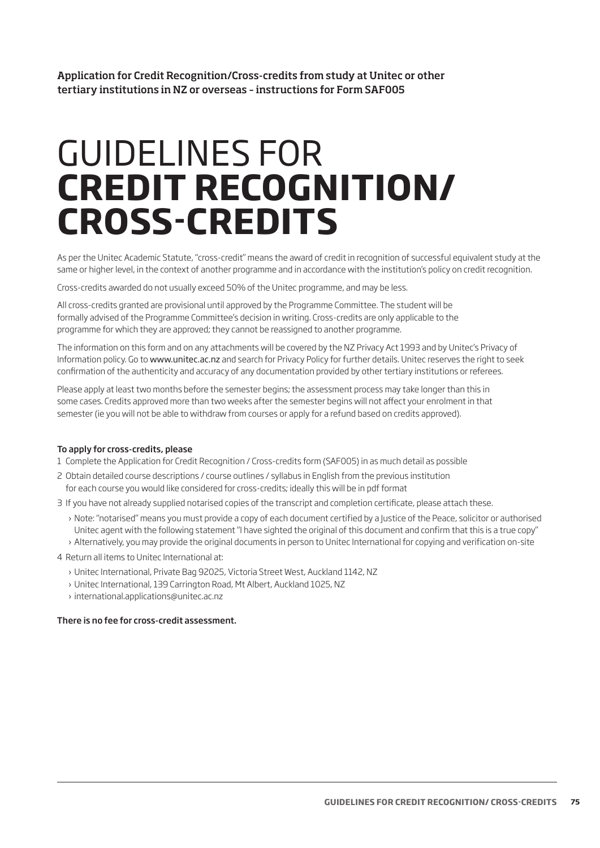Application for Credit Recognition/Cross-credits from study at Unitec or other tertiary institutions in NZ or overseas – instructions for Form SAF005

# GUIDELINES FOR **CREDIT RECOGNITION/ CROSS-CREDITS**

As per the Unitec Academic Statute, "cross-credit" means the award of credit in recognition of successful equivalent study at the same or higher level, in the context of another programme and in accordance with the institution's policy on credit recognition.

Cross-credits awarded do not usually exceed 50% of the Unitec programme, and may be less.

All cross-credits granted are provisional until approved by the Programme Committee. The student will be formally advised of the Programme Committee's decision in writing. Cross-credits are only applicable to the programme for which they are approved; they cannot be reassigned to another programme.

The information on this form and on any attachments will be covered by the NZ Privacy Act 1993 and by Unitec's Privacy of Information policy. Go to www.unitec.ac.nz and search for Privacy Policy for further details. Unitec reserves the right to seek confirmation of the authenticity and accuracy of any documentation provided by other tertiary institutions or referees.

Please apply at least two months before the semester begins; the assessment process may take longer than this in some cases. Credits approved more than two weeks after the semester begins will not affect your enrolment in that semester (ie you will not be able to withdraw from courses or apply for a refund based on credits approved).

#### To apply for cross-credits, please

- 1 Complete the Application for Credit Recognition / Cross-credits form (SAF005) in as much detail as possible
- 2 Obtain detailed course descriptions / course outlines / syllabus in English from the previous institution for each course you would like considered for cross-credits; ideally this will be in pdf format
- 3 If you have not already supplied notarised copies of the transcript and completion certificate, please attach these.
	- › Note: "notarised" means you must provide a copy of each document certified by a Justice of the Peace, solicitor or authorised Unitec agent with the following statement "I have sighted the original of this document and confirm that this is a true copy"
	- › Alternatively, you may provide the original documents in person to Unitec International for copying and verification on-site
- 4 Return all items to Unitec International at:
	- › Unitec International, Private Bag 92025, Victoria Street West, Auckland 1142, NZ
	- › Unitec International, 139 Carrington Road, Mt Albert, Auckland 1025, NZ
	- › international.applications@unitec.ac.nz

#### There is no fee for cross-credit assessment.